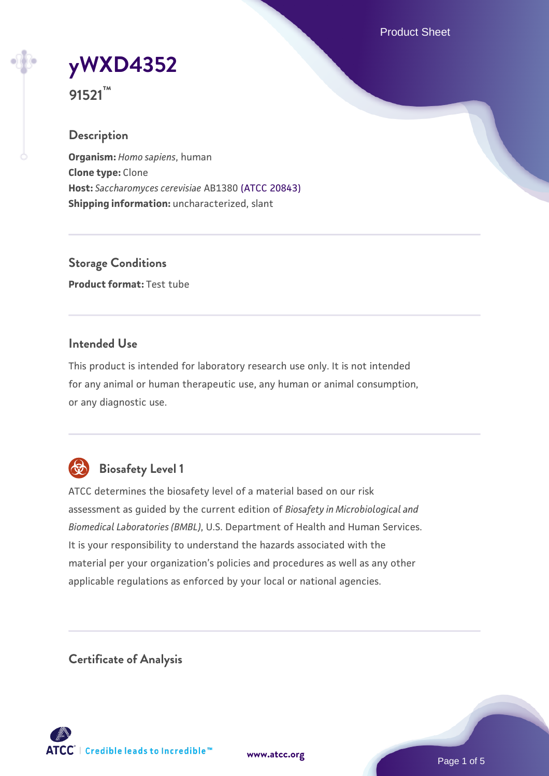Product Sheet

**[yWXD4352](https://www.atcc.org/products/91521)**

**91521™**

### **Description**

**Organism:** *Homo sapiens*, human **Clone type:** Clone **Host:** *Saccharomyces cerevisiae* AB1380 [\(ATCC 20843\)](https://www.atcc.org/products/20843) **Shipping information:** uncharacterized, slant

**Storage Conditions Product format:** Test tube

### **Intended Use**

This product is intended for laboratory research use only. It is not intended for any animal or human therapeutic use, any human or animal consumption, or any diagnostic use.



# **Biosafety Level 1**

ATCC determines the biosafety level of a material based on our risk assessment as guided by the current edition of *Biosafety in Microbiological and Biomedical Laboratories (BMBL)*, U.S. Department of Health and Human Services. It is your responsibility to understand the hazards associated with the material per your organization's policies and procedures as well as any other applicable regulations as enforced by your local or national agencies.

**Certificate of Analysis**

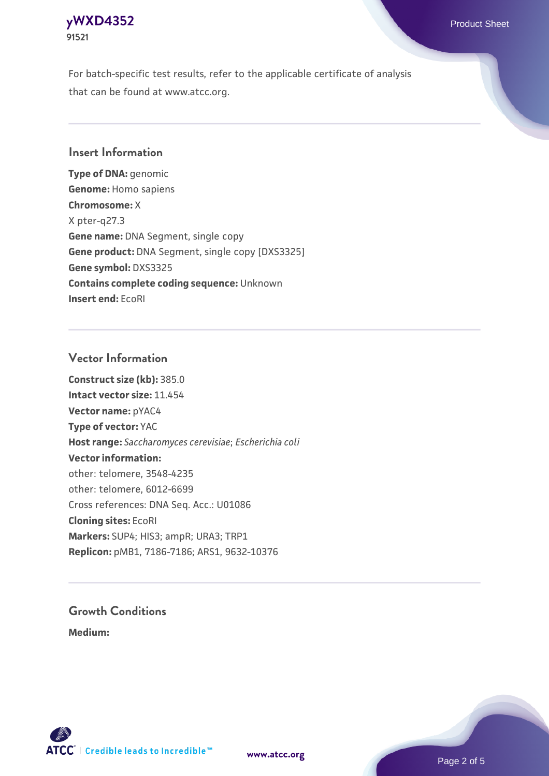### **[yWXD4352](https://www.atcc.org/products/91521)** Product Sheet **91521**

For batch-specific test results, refer to the applicable certificate of analysis that can be found at www.atcc.org.

### **Insert Information**

**Type of DNA:** genomic **Genome:** Homo sapiens **Chromosome:** X X pter-q27.3 **Gene name:** DNA Segment, single copy **Gene product:** DNA Segment, single copy [DXS3325] **Gene symbol:** DXS3325 **Contains complete coding sequence:** Unknown **Insert end:** EcoRI

#### **Vector Information**

**Construct size (kb):** 385.0 **Intact vector size:** 11.454 **Vector name:** pYAC4 **Type of vector:** YAC **Host range:** *Saccharomyces cerevisiae*; *Escherichia coli* **Vector information:** other: telomere, 3548-4235 other: telomere, 6012-6699 Cross references: DNA Seq. Acc.: U01086 **Cloning sites:** EcoRI **Markers:** SUP4; HIS3; ampR; URA3; TRP1 **Replicon:** pMB1, 7186-7186; ARS1, 9632-10376

# **Growth Conditions**

**Medium:** 



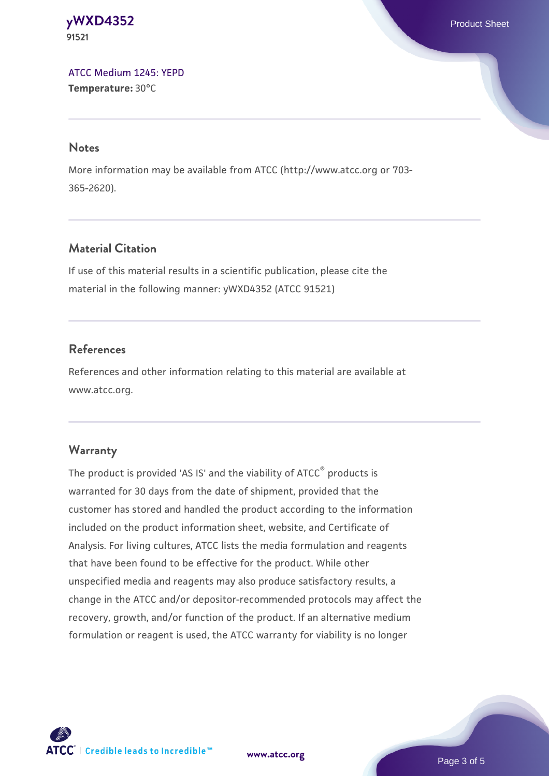#### **[yWXD4352](https://www.atcc.org/products/91521)** Product Sheet **91521**

[ATCC Medium 1245: YEPD](https://www.atcc.org/-/media/product-assets/documents/microbial-media-formulations/1/2/4/5/atcc-medium-1245.pdf?rev=705ca55d1b6f490a808a965d5c072196) **Temperature:** 30°C

#### **Notes**

More information may be available from ATCC (http://www.atcc.org or 703- 365-2620).

# **Material Citation**

If use of this material results in a scientific publication, please cite the material in the following manner: yWXD4352 (ATCC 91521)

# **References**

References and other information relating to this material are available at www.atcc.org.

# **Warranty**

The product is provided 'AS IS' and the viability of ATCC® products is warranted for 30 days from the date of shipment, provided that the customer has stored and handled the product according to the information included on the product information sheet, website, and Certificate of Analysis. For living cultures, ATCC lists the media formulation and reagents that have been found to be effective for the product. While other unspecified media and reagents may also produce satisfactory results, a change in the ATCC and/or depositor-recommended protocols may affect the recovery, growth, and/or function of the product. If an alternative medium formulation or reagent is used, the ATCC warranty for viability is no longer



**[www.atcc.org](http://www.atcc.org)**

Page 3 of 5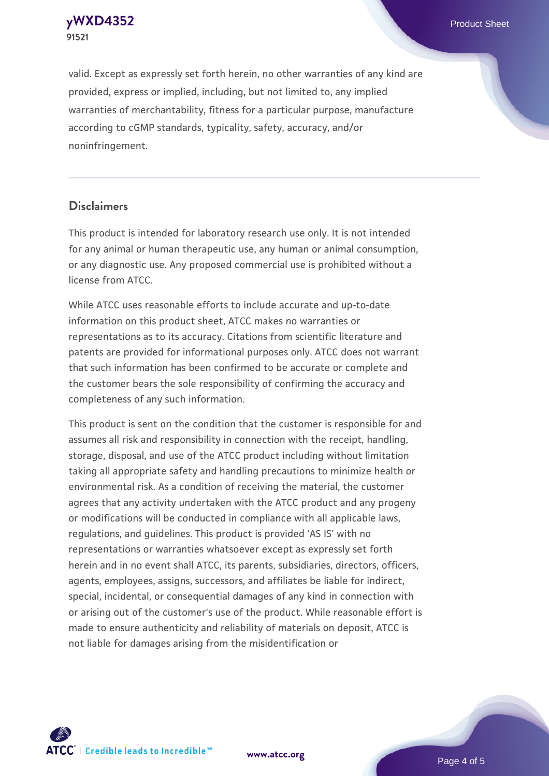**[yWXD4352](https://www.atcc.org/products/91521)** Product Sheet **91521**

valid. Except as expressly set forth herein, no other warranties of any kind are provided, express or implied, including, but not limited to, any implied warranties of merchantability, fitness for a particular purpose, manufacture according to cGMP standards, typicality, safety, accuracy, and/or noninfringement.

#### **Disclaimers**

This product is intended for laboratory research use only. It is not intended for any animal or human therapeutic use, any human or animal consumption, or any diagnostic use. Any proposed commercial use is prohibited without a license from ATCC.

While ATCC uses reasonable efforts to include accurate and up-to-date information on this product sheet, ATCC makes no warranties or representations as to its accuracy. Citations from scientific literature and patents are provided for informational purposes only. ATCC does not warrant that such information has been confirmed to be accurate or complete and the customer bears the sole responsibility of confirming the accuracy and completeness of any such information.

This product is sent on the condition that the customer is responsible for and assumes all risk and responsibility in connection with the receipt, handling, storage, disposal, and use of the ATCC product including without limitation taking all appropriate safety and handling precautions to minimize health or environmental risk. As a condition of receiving the material, the customer agrees that any activity undertaken with the ATCC product and any progeny or modifications will be conducted in compliance with all applicable laws, regulations, and guidelines. This product is provided 'AS IS' with no representations or warranties whatsoever except as expressly set forth herein and in no event shall ATCC, its parents, subsidiaries, directors, officers, agents, employees, assigns, successors, and affiliates be liable for indirect, special, incidental, or consequential damages of any kind in connection with or arising out of the customer's use of the product. While reasonable effort is made to ensure authenticity and reliability of materials on deposit, ATCC is not liable for damages arising from the misidentification or



**[www.atcc.org](http://www.atcc.org)**

Page 4 of 5